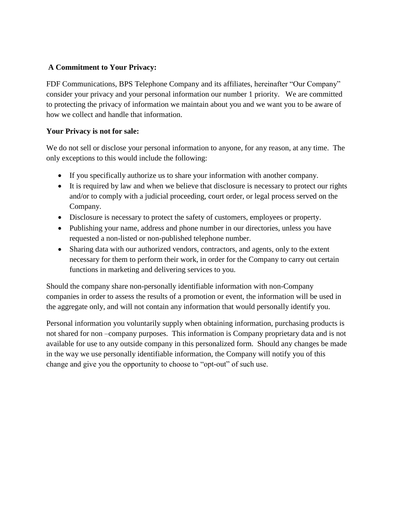## **A Commitment to Your Privacy:**

FDF Communications, BPS Telephone Company and its affiliates, hereinafter "Our Company" consider your privacy and your personal information our number 1 priority. We are committed to protecting the privacy of information we maintain about you and we want you to be aware of how we collect and handle that information.

## **Your Privacy is not for sale:**

We do not sell or disclose your personal information to anyone, for any reason, at any time. The only exceptions to this would include the following:

- If you specifically authorize us to share your information with another company.
- It is required by law and when we believe that disclosure is necessary to protect our rights and/or to comply with a judicial proceeding, court order, or legal process served on the Company.
- Disclosure is necessary to protect the safety of customers, employees or property.
- Publishing your name, address and phone number in our directories, unless you have requested a non-listed or non-published telephone number.
- Sharing data with our authorized vendors, contractors, and agents, only to the extent necessary for them to perform their work, in order for the Company to carry out certain functions in marketing and delivering services to you.

Should the company share non-personally identifiable information with non-Company companies in order to assess the results of a promotion or event, the information will be used in the aggregate only, and will not contain any information that would personally identify you.

Personal information you voluntarily supply when obtaining information, purchasing products is not shared for non –company purposes. This information is Company proprietary data and is not available for use to any outside company in this personalized form. Should any changes be made in the way we use personally identifiable information, the Company will notify you of this change and give you the opportunity to choose to "opt-out" of such use.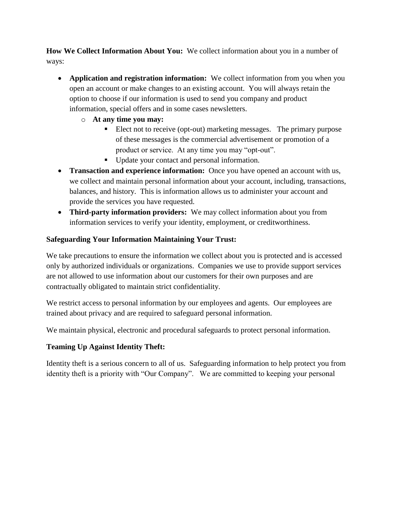**How We Collect Information About You:** We collect information about you in a number of ways:

- **Application and registration information:** We collect information from you when you open an account or make changes to an existing account. You will always retain the option to choose if our information is used to send you company and product information, special offers and in some cases newsletters.
	- o **At any time you may:**
		- Elect not to receive (opt-out) marketing messages. The primary purpose of these messages is the commercial advertisement or promotion of a product or service. At any time you may "opt-out".
		- Update your contact and personal information.
- **Transaction and experience information:** Once you have opened an account with us, we collect and maintain personal information about your account, including, transactions, balances, and history. This is information allows us to administer your account and provide the services you have requested.
- **Third-party information providers:** We may collect information about you from information services to verify your identity, employment, or creditworthiness.

## **Safeguarding Your Information Maintaining Your Trust:**

We take precautions to ensure the information we collect about you is protected and is accessed only by authorized individuals or organizations. Companies we use to provide support services are not allowed to use information about our customers for their own purposes and are contractually obligated to maintain strict confidentiality.

We restrict access to personal information by our employees and agents. Our employees are trained about privacy and are required to safeguard personal information.

We maintain physical, electronic and procedural safeguards to protect personal information.

## **Teaming Up Against Identity Theft:**

Identity theft is a serious concern to all of us. Safeguarding information to help protect you from identity theft is a priority with "Our Company". We are committed to keeping your personal